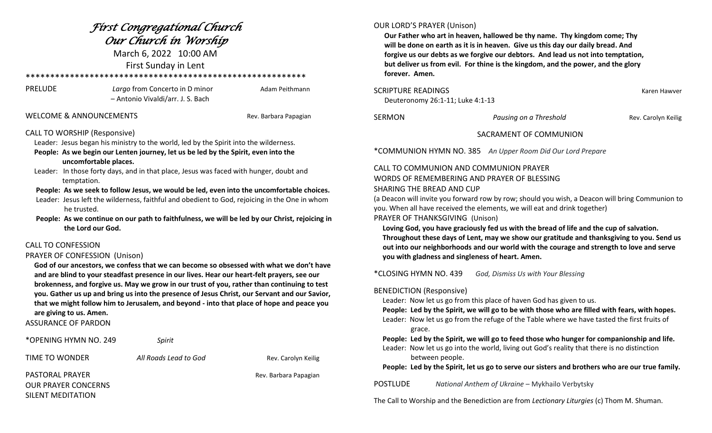| Fírst Congregatíonal Church<br>Our Church in Worship<br>March 6, 2022 10:00 AM<br>First Sunday in Lent                                                                                                                                                                                                                                                                                                                                                                                                                                                                                                                                                                                                                                                                                                                                                                                                                                                                                                                                                                                                                                                                                                                                                                                                 |                                                                     |                       | <b>OUR LORD'S PRAYER (Unison)</b><br>Our Father who art in heaven, hallowed be thy name. Thy kingdom come; Thy<br>will be done on earth as it is in heaven. Give us this day our daily bread. And<br>forgive us our debts as we forgive our debtors. And lead us not into temptation,<br>but deliver us from evil. For thine is the kingdom, and the power, and the glory<br>forever. Amen.                                                                                                                                                                                                                                                                                                                       |                                                                                                                                                                                           |                     |
|--------------------------------------------------------------------------------------------------------------------------------------------------------------------------------------------------------------------------------------------------------------------------------------------------------------------------------------------------------------------------------------------------------------------------------------------------------------------------------------------------------------------------------------------------------------------------------------------------------------------------------------------------------------------------------------------------------------------------------------------------------------------------------------------------------------------------------------------------------------------------------------------------------------------------------------------------------------------------------------------------------------------------------------------------------------------------------------------------------------------------------------------------------------------------------------------------------------------------------------------------------------------------------------------------------|---------------------------------------------------------------------|-----------------------|-------------------------------------------------------------------------------------------------------------------------------------------------------------------------------------------------------------------------------------------------------------------------------------------------------------------------------------------------------------------------------------------------------------------------------------------------------------------------------------------------------------------------------------------------------------------------------------------------------------------------------------------------------------------------------------------------------------------|-------------------------------------------------------------------------------------------------------------------------------------------------------------------------------------------|---------------------|
| <b>PRELUDE</b>                                                                                                                                                                                                                                                                                                                                                                                                                                                                                                                                                                                                                                                                                                                                                                                                                                                                                                                                                                                                                                                                                                                                                                                                                                                                                         | Largo from Concerto in D minor<br>- Antonio Vivaldi/arr. J. S. Bach | Adam Peithmann        | <b>SCRIPTURE READINGS</b><br>Karen Hawver<br>Deuteronomy 26:1-11; Luke 4:1-13                                                                                                                                                                                                                                                                                                                                                                                                                                                                                                                                                                                                                                     |                                                                                                                                                                                           |                     |
| <b>WELCOME &amp; ANNOUNCEMENTS</b>                                                                                                                                                                                                                                                                                                                                                                                                                                                                                                                                                                                                                                                                                                                                                                                                                                                                                                                                                                                                                                                                                                                                                                                                                                                                     |                                                                     | Rev. Barbara Papagian | <b>SERMON</b>                                                                                                                                                                                                                                                                                                                                                                                                                                                                                                                                                                                                                                                                                                     | Pausing on a Threshold                                                                                                                                                                    | Rev. Carolyn Keilig |
| <b>CALL TO WORSHIP (Responsive)</b><br>Leader: Jesus began his ministry to the world, led by the Spirit into the wilderness.<br>People: As we begin our Lenten journey, let us be led by the Spirit, even into the<br>uncomfortable places.<br>Leader: In those forty days, and in that place, Jesus was faced with hunger, doubt and<br>temptation.<br>People: As we seek to follow Jesus, we would be led, even into the uncomfortable choices.<br>Leader: Jesus left the wilderness, faithful and obedient to God, rejoicing in the One in whom<br>he trusted.<br>People: As we continue on our path to faithfulness, we will be led by our Christ, rejoicing in<br>the Lord our God.<br><b>CALL TO CONFESSION</b><br>PRAYER OF CONFESSION (Unison)<br>God of our ancestors, we confess that we can become so obsessed with what we don't have<br>and are blind to your steadfast presence in our lives. Hear our heart-felt prayers, see our<br>brokenness, and forgive us. May we grow in our trust of you, rather than continuing to test<br>you. Gather us up and bring us into the presence of Jesus Christ, our Servant and our Savior,<br>that we might follow him to Jerusalem, and beyond - into that place of hope and peace you<br>are giving to us. Amen.<br><b>ASSURANCE OF PARDON</b> |                                                                     |                       | SACRAMENT OF COMMUNION<br>*COMMUNION HYMN NO. 385 An Upper Room Did Our Lord Prepare<br>CALL TO COMMUNION AND COMMUNION PRAYER<br>WORDS OF REMEMBERING AND PRAYER OF BLESSING<br>SHARING THE BREAD AND CUP<br>(a Deacon will invite you forward row by row; should you wish, a Deacon will bring Communion to<br>you. When all have received the elements, we will eat and drink together)<br>PRAYER OF THANKSGIVING (Unison)<br>Loving God, you have graciously fed us with the bread of life and the cup of salvation.<br>Throughout these days of Lent, may we show our gratitude and thanksgiving to you. Send us<br>out into our neighborhoods and our world with the courage and strength to love and serve |                                                                                                                                                                                           |                     |
|                                                                                                                                                                                                                                                                                                                                                                                                                                                                                                                                                                                                                                                                                                                                                                                                                                                                                                                                                                                                                                                                                                                                                                                                                                                                                                        |                                                                     |                       | you with gladness and singleness of heart. Amen.<br>*CLOSING HYMN NO. 439<br>God, Dismiss Us with Your Blessing<br><b>BENEDICTION (Responsive)</b><br>Leader: Now let us go from this place of haven God has given to us.<br>People: Led by the Spirit, we will go to be with those who are filled with fears, with hopes.<br>Leader: Now let us go from the refuge of the Table where we have tasted the first fruits of<br>grace.                                                                                                                                                                                                                                                                               |                                                                                                                                                                                           |                     |
| *OPENING HYMN NO. 249                                                                                                                                                                                                                                                                                                                                                                                                                                                                                                                                                                                                                                                                                                                                                                                                                                                                                                                                                                                                                                                                                                                                                                                                                                                                                  | Spirit                                                              |                       |                                                                                                                                                                                                                                                                                                                                                                                                                                                                                                                                                                                                                                                                                                                   | People: Led by the Spirit, we will go to feed those who hunger for companionship and life.<br>Leader: Now let us go into the world, living out God's reality that there is no distinction |                     |
| TIME TO WONDER                                                                                                                                                                                                                                                                                                                                                                                                                                                                                                                                                                                                                                                                                                                                                                                                                                                                                                                                                                                                                                                                                                                                                                                                                                                                                         | All Roads Lead to God                                               | Rev. Carolyn Keilig   |                                                                                                                                                                                                                                                                                                                                                                                                                                                                                                                                                                                                                                                                                                                   | between people.<br>People: Led by the Spirit, let us go to serve our sisters and brothers who are our true family.                                                                        |                     |
| <b>PASTORAL PRAYER</b><br><b>OUR PRAYER CONCERNS</b><br><b>SILENT MEDITATION</b>                                                                                                                                                                                                                                                                                                                                                                                                                                                                                                                                                                                                                                                                                                                                                                                                                                                                                                                                                                                                                                                                                                                                                                                                                       |                                                                     | Rev. Barbara Papagian | <b>POSTLUDE</b>                                                                                                                                                                                                                                                                                                                                                                                                                                                                                                                                                                                                                                                                                                   | National Anthem of Ukraine - Mykhailo Verbytsky<br>The Call to Worship and the Benediction are from Lectionary Liturgies (c) Thom M. Shuman.                                              |                     |